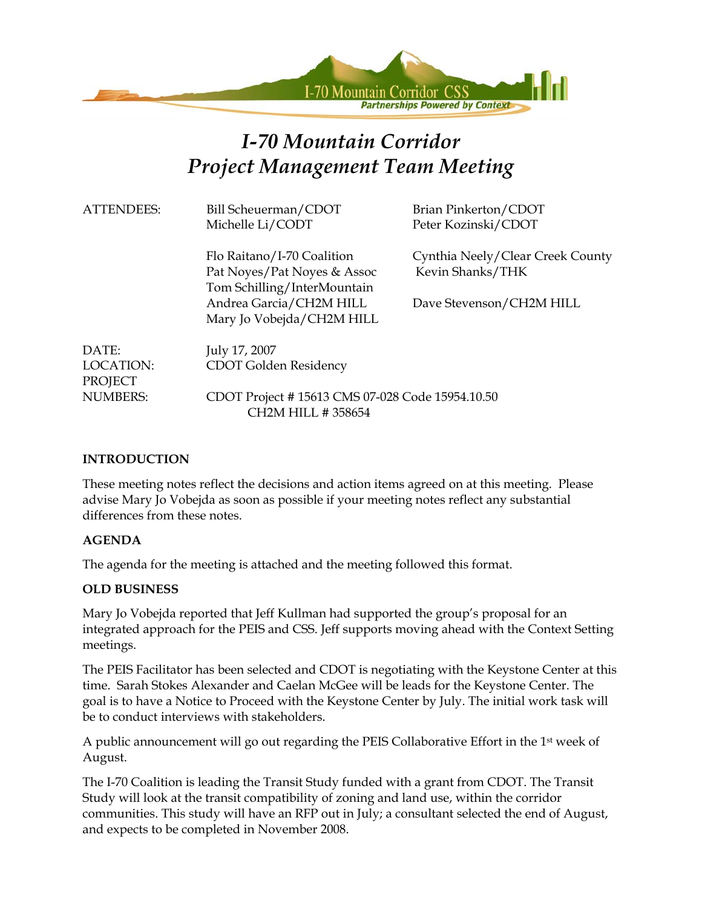

# *I-70 Mountain Corridor Project Management Team Meeting*

| <b>ATTENDEES:</b>    | Bill Scheuerman/CDOT<br>Michelle Li/CODT                                                 | Brian Pinkerton/CDOT<br>Peter Kozinski/CDOT          |  |
|----------------------|------------------------------------------------------------------------------------------|------------------------------------------------------|--|
|                      | Flo Raitano/I-70 Coalition<br>Pat Noyes/Pat Noyes & Assoc<br>Tom Schilling/InterMountain | Cynthia Neely/Clear Creek County<br>Kevin Shanks/THK |  |
|                      | Andrea Garcia/CH2M HILL<br>Mary Jo Vobejda/CH2M HILL                                     | Dave Stevenson/CH2M HILL                             |  |
| DATE:                | July 17, 2007                                                                            |                                                      |  |
| LOCATION:<br>PROJECT | CDOT Golden Residency                                                                    |                                                      |  |
| <b>NUMBERS:</b>      | CDOT Project #15613 CMS 07-028 Code 15954.10.50                                          |                                                      |  |

## **INTRODUCTION**

These meeting notes reflect the decisions and action items agreed on at this meeting. Please advise Mary Jo Vobejda as soon as possible if your meeting notes reflect any substantial differences from these notes.

## **AGENDA**

The agenda for the meeting is attached and the meeting followed this format.

CH2M HILL # 358654

## **OLD BUSINESS**

Mary Jo Vobejda reported that Jeff Kullman had supported the group's proposal for an integrated approach for the PEIS and CSS. Jeff supports moving ahead with the Context Setting meetings.

The PEIS Facilitator has been selected and CDOT is negotiating with the Keystone Center at this time. Sarah Stokes Alexander and Caelan McGee will be leads for the Keystone Center. The goal is to have a Notice to Proceed with the Keystone Center by July. The initial work task will be to conduct interviews with stakeholders.

A public announcement will go out regarding the PEIS Collaborative Effort in the 1st week of August.

The I-70 Coalition is leading the Transit Study funded with a grant from CDOT. The Transit Study will look at the transit compatibility of zoning and land use, within the corridor communities. This study will have an RFP out in July; a consultant selected the end of August, and expects to be completed in November 2008.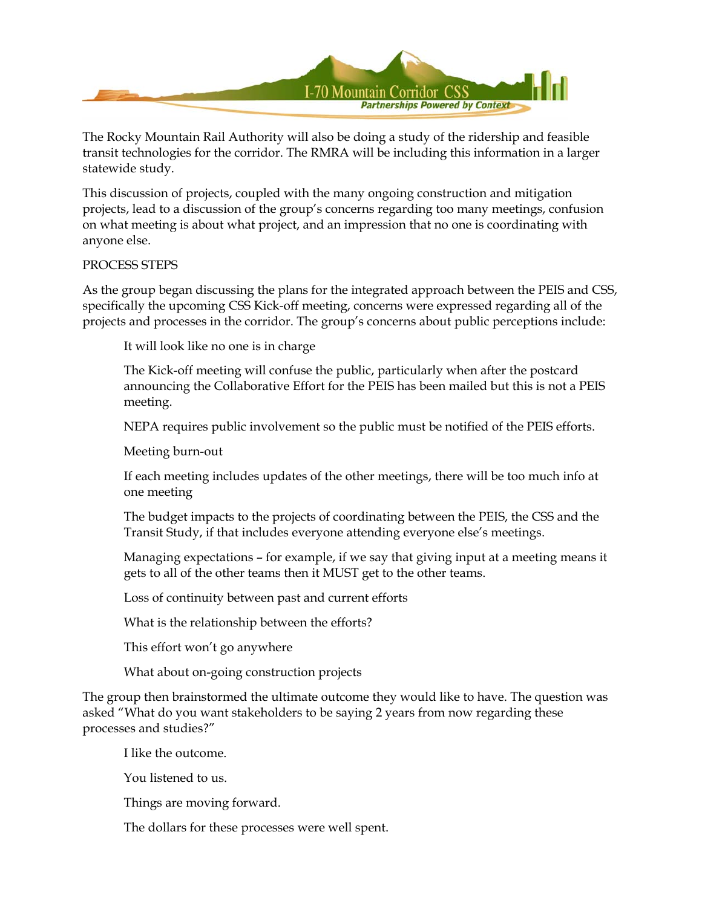

The Rocky Mountain Rail Authority will also be doing a study of the ridership and feasible transit technologies for the corridor. The RMRA will be including this information in a larger statewide study.

This discussion of projects, coupled with the many ongoing construction and mitigation projects, lead to a discussion of the group's concerns regarding too many meetings, confusion on what meeting is about what project, and an impression that no one is coordinating with anyone else.

#### PROCESS STEPS

As the group began discussing the plans for the integrated approach between the PEIS and CSS, specifically the upcoming CSS Kick-off meeting, concerns were expressed regarding all of the projects and processes in the corridor. The group's concerns about public perceptions include:

It will look like no one is in charge

The Kick-off meeting will confuse the public, particularly when after the postcard announcing the Collaborative Effort for the PEIS has been mailed but this is not a PEIS meeting.

NEPA requires public involvement so the public must be notified of the PEIS efforts.

Meeting burn-out

If each meeting includes updates of the other meetings, there will be too much info at one meeting

The budget impacts to the projects of coordinating between the PEIS, the CSS and the Transit Study, if that includes everyone attending everyone else's meetings.

Managing expectations – for example, if we say that giving input at a meeting means it gets to all of the other teams then it MUST get to the other teams.

Loss of continuity between past and current efforts

What is the relationship between the efforts?

This effort won't go anywhere

What about on-going construction projects

The group then brainstormed the ultimate outcome they would like to have. The question was asked "What do you want stakeholders to be saying 2 years from now regarding these processes and studies?"

I like the outcome.

You listened to us.

Things are moving forward.

The dollars for these processes were well spent.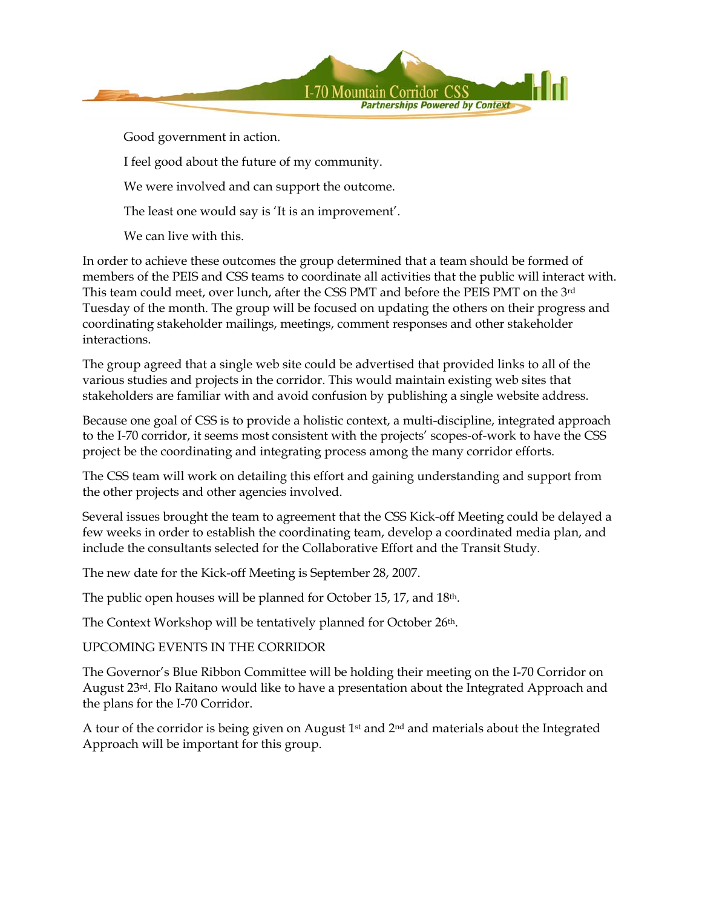

Good government in action.

I feel good about the future of my community.

We were involved and can support the outcome.

The least one would say is 'It is an improvement'.

We can live with this.

In order to achieve these outcomes the group determined that a team should be formed of members of the PEIS and CSS teams to coordinate all activities that the public will interact with. This team could meet, over lunch, after the CSS PMT and before the PEIS PMT on the 3rd Tuesday of the month. The group will be focused on updating the others on their progress and coordinating stakeholder mailings, meetings, comment responses and other stakeholder interactions.

The group agreed that a single web site could be advertised that provided links to all of the various studies and projects in the corridor. This would maintain existing web sites that stakeholders are familiar with and avoid confusion by publishing a single website address.

Because one goal of CSS is to provide a holistic context, a multi-discipline, integrated approach to the I-70 corridor, it seems most consistent with the projects' scopes-of-work to have the CSS project be the coordinating and integrating process among the many corridor efforts.

The CSS team will work on detailing this effort and gaining understanding and support from the other projects and other agencies involved.

Several issues brought the team to agreement that the CSS Kick-off Meeting could be delayed a few weeks in order to establish the coordinating team, develop a coordinated media plan, and include the consultants selected for the Collaborative Effort and the Transit Study.

The new date for the Kick-off Meeting is September 28, 2007.

The public open houses will be planned for October 15, 17, and 18th.

The Context Workshop will be tentatively planned for October 26<sup>th</sup>.

UPCOMING EVENTS IN THE CORRIDOR

The Governor's Blue Ribbon Committee will be holding their meeting on the I-70 Corridor on August 23rd. Flo Raitano would like to have a presentation about the Integrated Approach and the plans for the I-70 Corridor.

A tour of the corridor is being given on August  $1<sup>st</sup>$  and  $2<sup>nd</sup>$  and materials about the Integrated Approach will be important for this group.